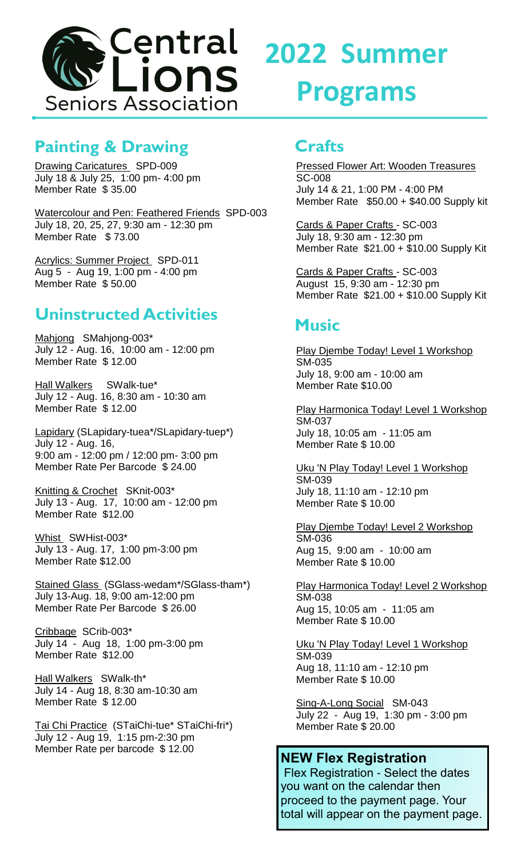

# **Painting & Drawing**

Drawing Caricatures SPD-009 July 18 & July 25, 1:00 pm- 4:00 pm Member Rate \$ 35.00

Watercolour and Pen: Feathered Friends SPD-003 July 18, 20, 25, 27, 9:30 am - 12:30 pm Member Rate \$ 73.00

**Acrylics: Summer Project SPD-011** Aug 5 - Aug 19, 1:00 pm - 4:00 pm Member Rate \$ 50.00

## **Uninstructed Activities**

Mahjong SMahjong-003\* July 12 - Aug. 16, 10:00 am - 12:00 pm Member Rate \$ 12.00

Hall Walkers SWalk-tue\* July 12 - Aug. 16, 8:30 am - 10:30 am Member Rate \$ 12.00

Lapidary (SLapidary-tuea\*/SLapidary-tuep\*) July 12 - Aug. 16, 9:00 am - 12:00 pm / 12:00 pm- 3:00 pm Member Rate Per Barcode \$ 24.00

Knitting & Crochet SKnit-003\* July 13 - Aug. 17, 10:00 am - 12:00 pm Member Rate \$12.00

Whist SWHist-003\* July 13 - Aug. 17, 1:00 pm-3:00 pm Member Rate \$12.00

Stained Glass (SGlass-wedam\*/SGlass-tham\*) July 13-Aug. 18, 9:00 am-12:00 pm Member Rate Per Barcode \$ 26.00

Cribbage SCrib-003\* July 14 - Aug 18, 1:00 pm-3:00 pm Member Rate \$12.00

Hall Walkers SWalk-th\* July 14 - Aug 18, 8:30 am-10:30 am Member Rate \$ 12.00

Tai Chi Practice (STaiChi-tue\* STaiChi-fri\*) July 12 - Aug 19, 1:15 pm-2:30 pm Member Rate per barcode \$12.00

# **2022 Summer Programs**

#### **Crafts**

Pressed Flower Art: Wooden Treasures SC-008 July 14 & 21, 1:00 PM - 4:00 PM Member Rate \$50.00 + \$40.00 Supply kit

Cards & Paper Crafts - SC-003 July 18, 9:30 am - 12:30 pm Member Rate \$21.00 + \$10.00 Supply Kit

Cards & Paper Crafts - SC-003 August 15, 9:30 am - 12:30 pm Member Rate \$21.00 + \$10.00 Supply Kit

# **Music**

Play Djembe Today! Level 1 Workshop SM-035 July 18, 9:00 am - 10:00 am Member Rate \$10.00

Play Harmonica Today! Level 1 Workshop SM-037 July 18, 10:05 am - 11:05 am Member Rate \$ 10.00

Uku 'N Play Today! Level 1 Workshop SM-039 July 18, 11:10 am - 12:10 pm Member Rate \$ 10.00

Play Djembe Today! Level 2 Workshop SM-036 Aug 15, 9:00 am - 10:00 am Member Rate \$ 10.00

Play Harmonica Today! Level 2 Workshop SM-038 Aug 15, 10:05 am - 11:05 am Member Rate \$ 10.00

Uku 'N Play Today! Level 1 Workshop SM-039 Aug 18, 11:10 am - 12:10 pm Member Rate \$ 10.00

Sing-A-Long Social SM-043 July 22 - Aug 19, 1:30 pm - 3:00 pm Member Rate \$ 20.00

#### **NEW Flex Registration**

Flex Registration - Select the dates you want on the calendar then proceed to the payment page. Your total will appear on the payment page.